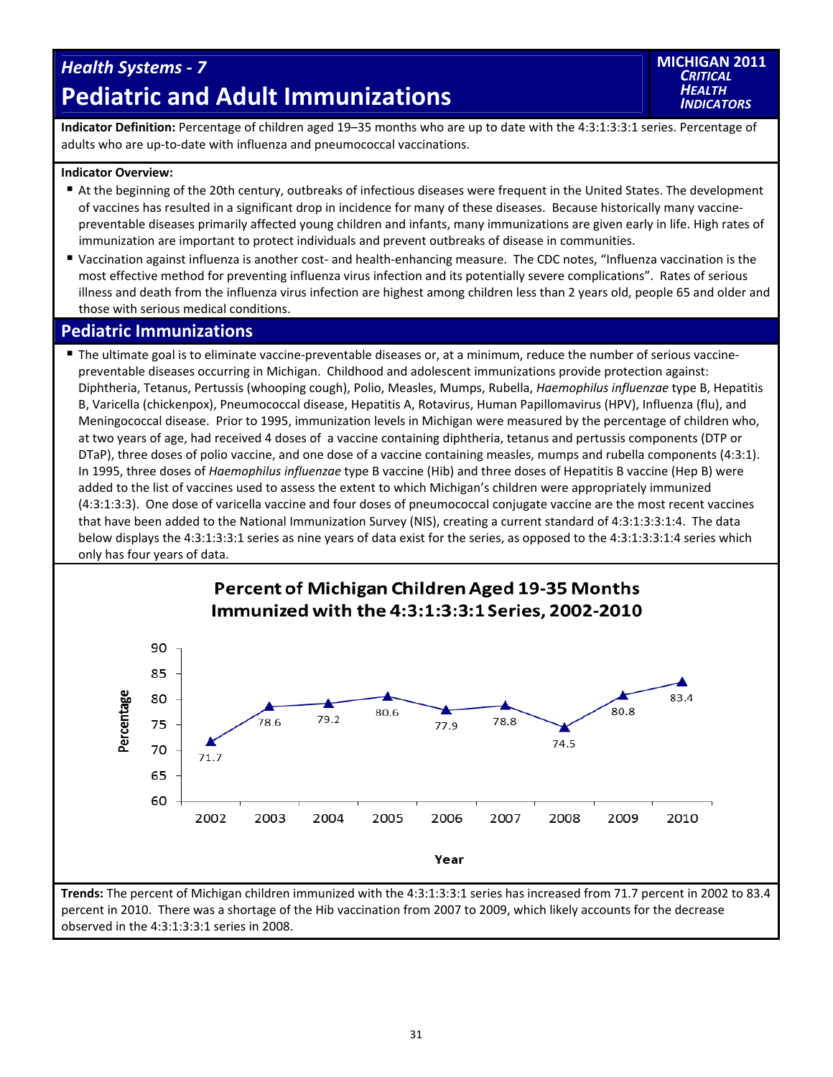# *Health Systems ‐ 7* **Pediatric and Adult Immunizations**



**Indicator Definition:** Percentage of children aged 19–35 months who are up to date with the 4:3:1:3:3:1 series. Percentage of adults who are up-to-date with influenza and pneumococcal vaccinations.

### **Indicator Overview:**

- At the beginning of the 20th century, outbreaks of infectious diseases were frequent in the United States. The development of vaccines has resulted in a significant drop in incidence for many of these diseases. Because historically many vaccine‐ preventable diseases primarily affected young children and infants, many immunizations are given early in life. High rates of immunization are important to protect individuals and prevent outbreaks of disease in communities.
- Vaccination against influenza is another cost- and health-enhancing measure. The CDC notes, "Influenza vaccination is the most effective method for preventing influenza virus infection and its potentially severe complications". Rates of serious illness and death from the influenza virus infection are highest among children less than 2 years old, people 65 and older and those with serious medical conditions.

### **Pediatric Immunizations**

■ The ultimate goal is to eliminate vaccine-preventable diseases or, at a minimum, reduce the number of serious vaccinepreventable diseases occurring in Michigan. Childhood and adolescent immunizations provide protection against: Diphtheria, Tetanus, Pertussis (whooping cough), Polio, Measles, Mumps, Rubella, *Haemophilus influenzae* type B, Hepatitis B, Varicella (chickenpox), Pneumococcal disease, Hepatitis A, Rotavirus, Human Papillomavirus (HPV), Influenza (flu), and Meningococcal disease. Prior to 1995, immunization levels in Michigan were measured by the percentage of children who, at two years of age, had received 4 doses of a vaccine containing diphtheria, tetanus and pertussis components (DTP or DTaP), three doses of polio vaccine, and one dose of a vaccine containing measles, mumps and rubella components (4:3:1). In 1995, three doses of *Haemophilus influenzae* type B vaccine (Hib) and three doses of Hepatitis B vaccine (Hep B) were added to the list of vaccines used to assess the extent to which Michigan's children were appropriately immunized (4:3:1:3:3). One dose of varicella vaccine and four doses of pneumococcal conjugate vaccine are the most recent vaccines that have been added to the National Immunization Survey (NIS), creating a current standard of 4:3:1:3:3:1:4. The data below displays the 4:3:1:3:3:1 series as nine years of data exist for the series, as opposed to the 4:3:1:3:3:1:4 series which only has four years of data.

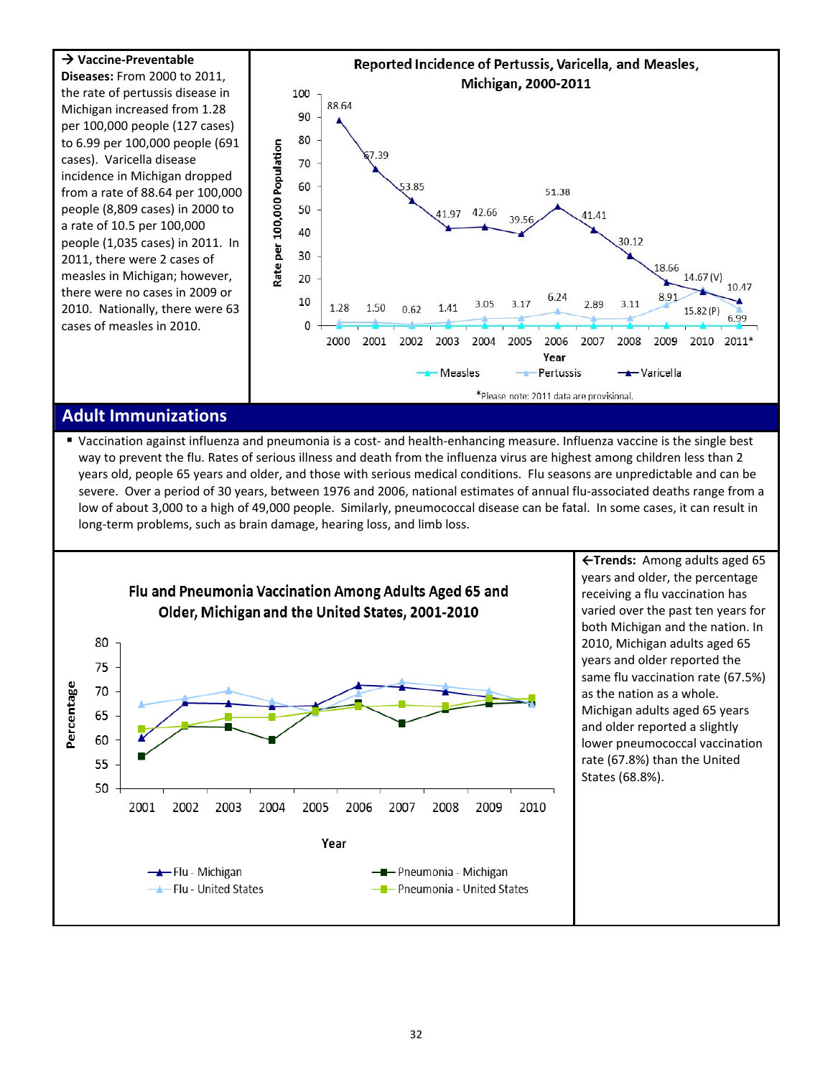

## **Adult Immunizations**

■ Vaccination against influenza and pneumonia is a cost- and health-enhancing measure. Influenza vaccine is the single best way to prevent the flu. Rates of serious illness and death from the influenza virus are highest among children less than 2 years old, people 65 years and older, and those with serious medical conditions. Flu seasons are unpredictable and can be severe. Over a period of 30 years, between 1976 and 2006, national estimates of annual flu‐associated deaths range from a low of about 3,000 to a high of 49,000 people. Similarly, pneumococcal disease can be fatal. In some cases, it can result in long-term problems, such as brain damage, hearing loss, and limb loss.